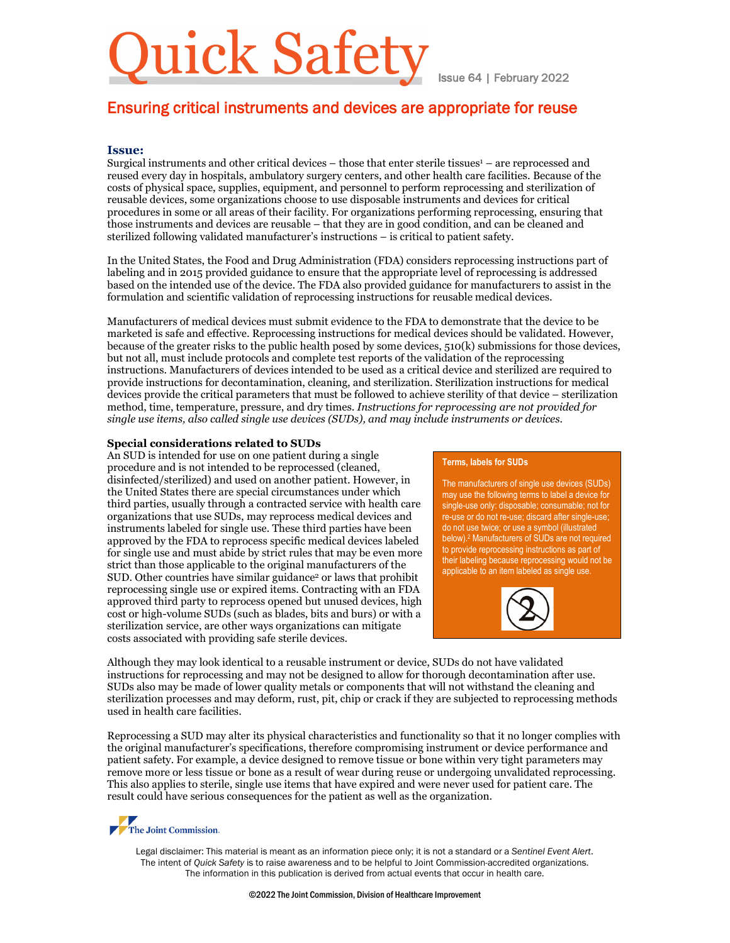# uick Safety

Issue 64 | February 2022

### Ensuring critical instruments and devices are appropriate for reuse

#### **Issue:**

Surgical instruments and other critical devices  $-$  those that enter sterile tissues $1 -$  are reprocessed and reused every day in hospitals, ambulatory surgery centers, and other health care facilities. Because of the costs of physical space, supplies, equipment, and personnel to perform reprocessing and sterilization of reusable devices, some organizations choose to use disposable instruments and devices for critical procedures in some or all areas of their facility. For organizations performing reprocessing, ensuring that those instruments and devices are reusable – that they are in good condition, and can be cleaned and sterilized following validated manufacturer's instructions – is critical to patient safety.

In the United States, the Food and Drug Administration (FDA) considers reprocessing instructions part of labeling and in 2015 provided guidance to ensure that the appropriate level of reprocessing is addressed based on the intended use of the device. The FDA also provided guidance for manufacturers to assist in the formulation and scientific validation of reprocessing instructions for reusable medical devices.

Manufacturers of medical devices must submit evidence to the FDA to demonstrate that the device to be marketed is safe and effective. Reprocessing instructions for medical devices should be validated. However, because of the greater risks to the public health posed by some devices, 510(k) submissions for those devices, but not all, must include protocols and complete test reports of the validation of the reprocessing instructions. Manufacturers of devices intended to be used as a critical device and sterilized are required to provide instructions for decontamination, cleaning, and sterilization. Sterilization instructions for medical devices provide the critical parameters that must be followed to achieve sterility of that device – sterilization method, time, temperature, pressure, and dry times. *Instructions for reprocessing are not provided for single use items, also called single use devices (SUDs), and may include instruments or devices.*

#### **Special considerations related to SUDs**

An SUD is intended for use on one patient during a single procedure and is not intended to be reprocessed (cleaned, disinfected/sterilized) and used on another patient. However, in the United States there are special circumstances under which third parties, usually through a contracted service with health care organizations that use SUDs, may reprocess medical devices and instruments labeled for single use. These third parties have been approved by the FDA to reprocess specific medical devices labeled for single use and must abide by strict rules that may be even more strict than those applicable to the original manufacturers of the SUD. Other countries have similar guidance<sup>2</sup> or laws that prohibit reprocessing single use or expired items. Contracting with an FDA approved third party to reprocess opened but unused devices, high cost or high-volume SUDs (such as blades, bits and burs) or with a sterilization service, are other ways organizations can mitigate costs associated with providing safe sterile devices.

#### **Terms, labels for SUDs**

The manufacturers of single use devices (SUDs) may use the following terms to label a device for single-use only: disposable; consumable; not for re-use or do not re-use; discard after single-use; do not use twice; or use a symbol (illustrated below).2 Manufacturers of SUDs are not required to provide reprocessing instructions as part of their labeling because reprocessing would not be applicable to an item labeled as single use.



Although they may look identical to a reusable instrument or device, SUDs do not have validated instructions for reprocessing and may not be designed to allow for thorough decontamination after use. SUDs also may be made of lower quality metals or components that will not withstand the cleaning and sterilization processes and may deform, rust, pit, chip or crack if they are subjected to reprocessing methods used in health care facilities.

Reprocessing a SUD may alter its physical characteristics and functionality so that it no longer complies with the original manufacturer's specifications, therefore compromising instrument or device performance and patient safety. For example, a device designed to remove tissue or bone within very tight parameters may remove more or less tissue or bone as a result of wear during reuse or undergoing unvalidated reprocessing. This also applies to sterile, single use items that have expired and were never used for patient care. The result could have serious consequences for the patient as well as the organization.

# The Joint Commission.

Legal disclaimer: This material is meant as an information piece only; it is not a standard or a *Sentinel Event Alert*. The intent of *Quick Safety* is to raise awareness and to be helpful to Joint Commission-accredited organizations. The information in this publication is derived from actual events that occur in health care.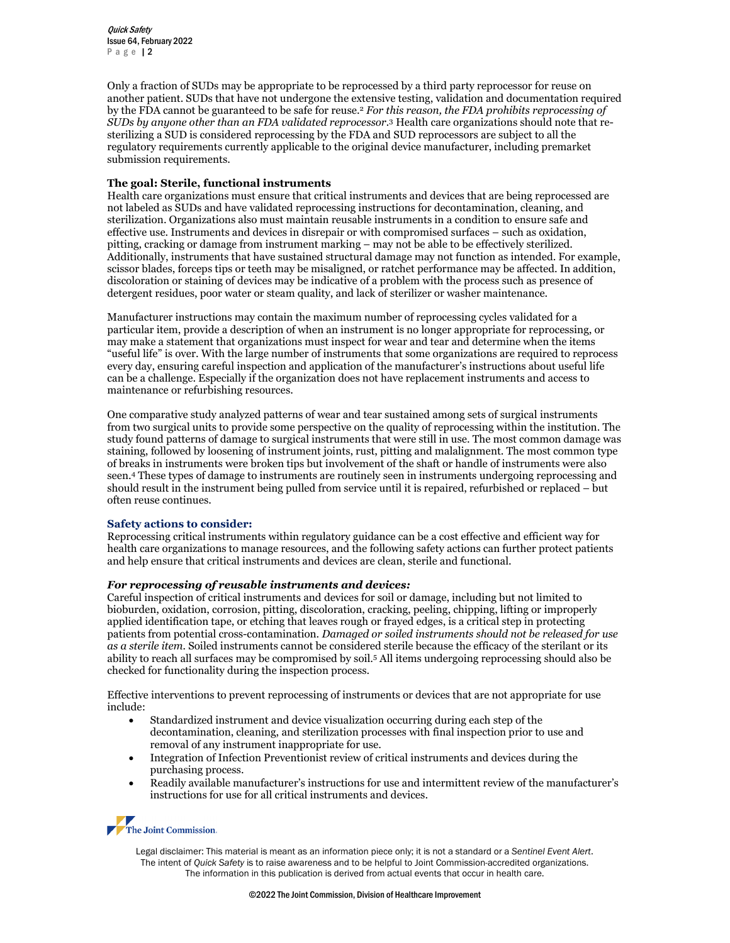Quick Safety Issue 64, February 2022 Page 12

Only a fraction of SUDs may be appropriate to be reprocessed by a third party reprocessor for reuse on another patient. SUDs that have not undergone the extensive testing, validation and documentation required by the FDA cannot be guaranteed to be safe for reuse.2 *For this reason, the FDA prohibits reprocessing of SUDs by anyone other than an FDA validated reprocessor.* <sup>3</sup> Health care organizations should note that resterilizing a SUD is considered reprocessing by the FDA and SUD reprocessors are subject to all the regulatory requirements currently applicable to the original device manufacturer, including premarket submission requirements.

#### **The goal: Sterile, functional instruments**

Health care organizations must ensure that critical instruments and devices that are being reprocessed are not labeled as SUDs and have validated reprocessing instructions for decontamination, cleaning, and sterilization. Organizations also must maintain reusable instruments in a condition to ensure safe and effective use. Instruments and devices in disrepair or with compromised surfaces – such as oxidation, pitting, cracking or damage from instrument marking – may not be able to be effectively sterilized. Additionally, instruments that have sustained structural damage may not function as intended. For example, scissor blades, forceps tips or teeth may be misaligned, or ratchet performance may be affected. In addition, discoloration or staining of devices may be indicative of a problem with the process such as presence of detergent residues, poor water or steam quality, and lack of sterilizer or washer maintenance.

Manufacturer instructions may contain the maximum number of reprocessing cycles validated for a particular item, provide a description of when an instrument is no longer appropriate for reprocessing, or may make a statement that organizations must inspect for wear and tear and determine when the items "useful life" is over. With the large number of instruments that some organizations are required to reprocess every day, ensuring careful inspection and application of the manufacturer's instructions about useful life can be a challenge. Especially if the organization does not have replacement instruments and access to maintenance or refurbishing resources.

One comparative study analyzed patterns of wear and tear sustained among sets of surgical instruments from two surgical units to provide some perspective on the quality of reprocessing within the institution. The study found patterns of damage to surgical instruments that were still in use. The most common damage was staining, followed by loosening of instrument joints, rust, pitting and malalignment. The most common type of breaks in instruments were broken tips but involvement of the shaft or handle of instruments were also seen.4 These types of damage to instruments are routinely seen in instruments undergoing reprocessing and should result in the instrument being pulled from service until it is repaired, refurbished or replaced – but often reuse continues.

#### **Safety actions to consider:**

Reprocessing critical instruments within regulatory guidance can be a cost effective and efficient way for health care organizations to manage resources, and the following safety actions can further protect patients and help ensure that critical instruments and devices are clean, sterile and functional.

#### *For reprocessing of reusable instruments and devices:*

Careful inspection of critical instruments and devices for soil or damage, including but not limited to bioburden, oxidation, corrosion, pitting, discoloration, cracking, peeling, chipping, lifting or improperly applied identification tape, or etching that leaves rough or frayed edges, is a critical step in protecting patients from potential cross-contamination. *Damaged or soiled instruments should not be released for use as a sterile item.* Soiled instruments cannot be considered sterile because the efficacy of the sterilant or its ability to reach all surfaces may be compromised by soil.5 All items undergoing reprocessing should also be checked for functionality during the inspection process.

Effective interventions to prevent reprocessing of instruments or devices that are not appropriate for use include:

- Standardized instrument and device visualization occurring during each step of the decontamination, cleaning, and sterilization processes with final inspection prior to use and removal of any instrument inappropriate for use.
- Integration of Infection Preventionist review of critical instruments and devices during the purchasing process.
- Readily available manufacturer's instructions for use and intermittent review of the manufacturer's instructions for use for all critical instruments and devices.

## The Joint Commission.

Legal disclaimer: This material is meant as an information piece only; it is not a standard or a *Sentinel Event Alert*. The intent of *Quick Safety* is to raise awareness and to be helpful to Joint Commission-accredited organizations. The information in this publication is derived from actual events that occur in health care.